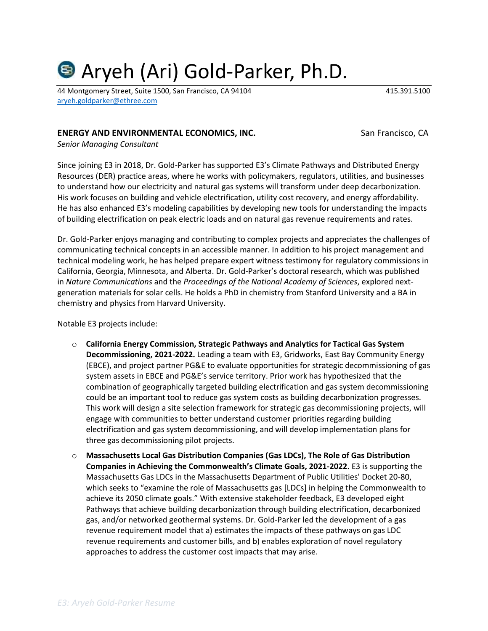# Aryeh (Ari) Gold-Parker, Ph.D.

44 Montgomery Street, Suite 1500, San Francisco, CA 94104 415.391.5100 [aryeh.goldparker@ethree.com](mailto:aryeh.goldparker@ethree.com)

#### **ENERGY AND ENVIRONMENTAL ECONOMICS, INC.** San Francisco, CA

*Senior Managing Consultant*

Since joining E3 in 2018, Dr. Gold-Parker has supported E3's Climate Pathways and Distributed Energy Resources (DER) practice areas, where he works with policymakers, regulators, utilities, and businesses to understand how our electricity and natural gas systems will transform under deep decarbonization. His work focuses on building and vehicle electrification, utility cost recovery, and energy affordability. He has also enhanced E3's modeling capabilities by developing new tools for understanding the impacts of building electrification on peak electric loads and on natural gas revenue requirements and rates.

Dr. Gold-Parker enjoys managing and contributing to complex projects and appreciates the challenges of communicating technical concepts in an accessible manner. In addition to his project management and technical modeling work, he has helped prepare expert witness testimony for regulatory commissions in California, Georgia, Minnesota, and Alberta. Dr. Gold-Parker's doctoral research, which was published in *Nature Communications* and the *Proceedings of the National Academy of Sciences*, explored nextgeneration materials for solar cells. He holds a PhD in chemistry from Stanford University and a BA in chemistry and physics from Harvard University.

Notable E3 projects include:

- o **California Energy Commission, Strategic Pathways and Analytics for Tactical Gas System Decommissioning, 2021-2022.** Leading a team with E3, Gridworks, East Bay Community Energy (EBCE), and project partner PG&E to evaluate opportunities for strategic decommissioning of gas system assets in EBCE and PG&E's service territory. Prior work has hypothesized that the combination of geographically targeted building electrification and gas system decommissioning could be an important tool to reduce gas system costs as building decarbonization progresses. This work will design a site selection framework for strategic gas decommissioning projects, will engage with communities to better understand customer priorities regarding building electrification and gas system decommissioning, and will develop implementation plans for three gas decommissioning pilot projects.
- o **Massachusetts Local Gas Distribution Companies (Gas LDCs), The Role of Gas Distribution Companies in Achieving the Commonwealth's Climate Goals, 2021-2022.** E3 is supporting the Massachusetts Gas LDCs in the Massachusetts Department of Public Utilities' Docket 20-80, which seeks to "examine the role of Massachusetts gas [LDCs] in helping the Commonwealth to achieve its 2050 climate goals." With extensive stakeholder feedback, E3 developed eight Pathways that achieve building decarbonization through building electrification, decarbonized gas, and/or networked geothermal systems. Dr. Gold-Parker led the development of a gas revenue requirement model that a) estimates the impacts of these pathways on gas LDC revenue requirements and customer bills, and b) enables exploration of novel regulatory approaches to address the customer cost impacts that may arise.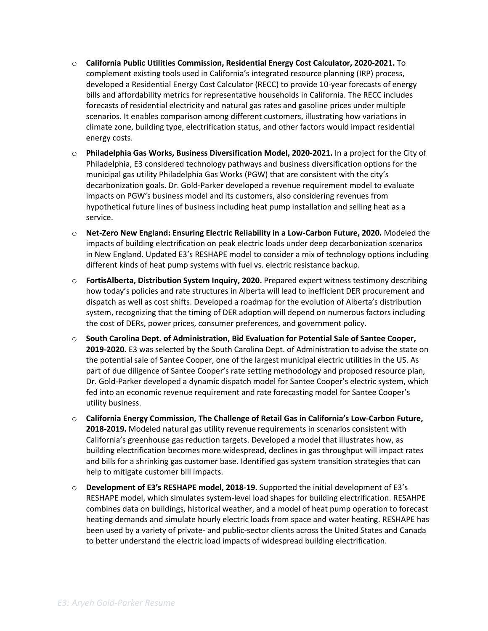- o **California Public Utilities Commission, Residential Energy Cost Calculator, 2020-2021.** To complement existing tools used in California's integrated resource planning (IRP) process, developed a Residential Energy Cost Calculator (RECC) to provide 10-year forecasts of energy bills and affordability metrics for representative households in California. The RECC includes forecasts of residential electricity and natural gas rates and gasoline prices under multiple scenarios. It enables comparison among different customers, illustrating how variations in climate zone, building type, electrification status, and other factors would impact residential energy costs.
- o **Philadelphia Gas Works, Business Diversification Model, 2020-2021.** In a project for the City of Philadelphia, E3 considered technology pathways and business diversification options for the municipal gas utility Philadelphia Gas Works (PGW) that are consistent with the city's decarbonization goals. Dr. Gold-Parker developed a revenue requirement model to evaluate impacts on PGW's business model and its customers, also considering revenues from hypothetical future lines of business including heat pump installation and selling heat as a service.
- o **Net-Zero New England: Ensuring Electric Reliability in a Low-Carbon Future, 2020.** Modeled the impacts of building electrification on peak electric loads under deep decarbonization scenarios in New England. Updated E3's RESHAPE model to consider a mix of technology options including different kinds of heat pump systems with fuel vs. electric resistance backup.
- o **FortisAlberta, Distribution System Inquiry, 2020.** Prepared expert witness testimony describing how today's policies and rate structures in Alberta will lead to inefficient DER procurement and dispatch as well as cost shifts. Developed a roadmap for the evolution of Alberta's distribution system, recognizing that the timing of DER adoption will depend on numerous factors including the cost of DERs, power prices, consumer preferences, and government policy.
- o **South Carolina Dept. of Administration, Bid Evaluation for Potential Sale of Santee Cooper, 2019-2020.** E3 was selected by the South Carolina Dept. of Administration to advise the state on the potential sale of Santee Cooper, one of the largest municipal electric utilities in the US. As part of due diligence of Santee Cooper's rate setting methodology and proposed resource plan, Dr. Gold-Parker developed a dynamic dispatch model for Santee Cooper's electric system, which fed into an economic revenue requirement and rate forecasting model for Santee Cooper's utility business.
- o **California Energy Commission, The Challenge of Retail Gas in California's Low-Carbon Future, 2018-2019.** Modeled natural gas utility revenue requirements in scenarios consistent with California's greenhouse gas reduction targets. Developed a model that illustrates how, as building electrification becomes more widespread, declines in gas throughput will impact rates and bills for a shrinking gas customer base. Identified gas system transition strategies that can help to mitigate customer bill impacts.
- o **Development of E3's RESHAPE model, 2018-19.** Supported the initial development of E3's RESHAPE model, which simulates system-level load shapes for building electrification. RESAHPE combines data on buildings, historical weather, and a model of heat pump operation to forecast heating demands and simulate hourly electric loads from space and water heating. RESHAPE has been used by a variety of private- and public-sector clients across the United States and Canada to better understand the electric load impacts of widespread building electrification.